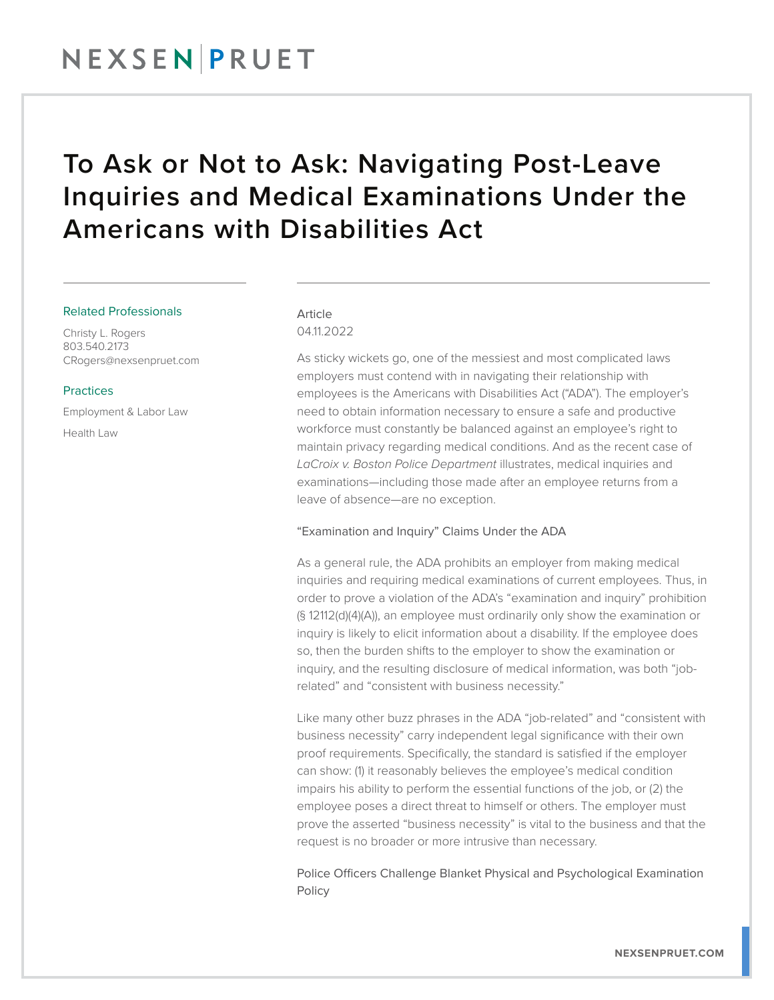## To Ask or Not to Ask: Navigating Post-Leave Inquiries and Medical Examinations Under the Americans with Disabilities Act

#### Related Professionals

Christy L. Rogers 803.540.2173 CRogers@nexsenpruet.com

#### **Practices**

Employment & Labor Law

Health Law

### Article

04.11.2022

As sticky wickets go, one of the messiest and most complicated laws employers must contend with in navigating their relationship with employees is the Americans with Disabilities Act ("ADA"). The employer's need to obtain information necessary to ensure a safe and productive workforce must constantly be balanced against an employee's right to maintain privacy regarding medical conditions. And as the recent case of *LaCroix v. Boston Police Department* illustrates, medical inquiries and examinations—including those made after an employee returns from a leave of absence—are no exception.

#### "Examination and Inquiry" Claims Under the ADA

As a general rule, the ADA prohibits an employer from making medical inquiries and requiring medical examinations of current employees. Thus, in order to prove a violation of the ADA's "examination and inquiry" prohibition (§ 12112(d)(4)(A)), an employee must ordinarily only show the examination or inquiry is likely to elicit information about a disability. If the employee does so, then the burden shifts to the employer to show the examination or inquiry, and the resulting disclosure of medical information, was both "jobrelated" and "consistent with business necessity."

Like many other buzz phrases in the ADA "job-related" and "consistent with business necessity" carry independent legal significance with their own proof requirements. Specifically, the standard is satisfied if the employer can show: (1) it reasonably believes the employee's medical condition impairs his ability to perform the essential functions of the job, or (2) the employee poses a direct threat to himself or others. The employer must prove the asserted "business necessity" is vital to the business and that the request is no broader or more intrusive than necessary.

Police Officers Challenge Blanket Physical and Psychological Examination Policy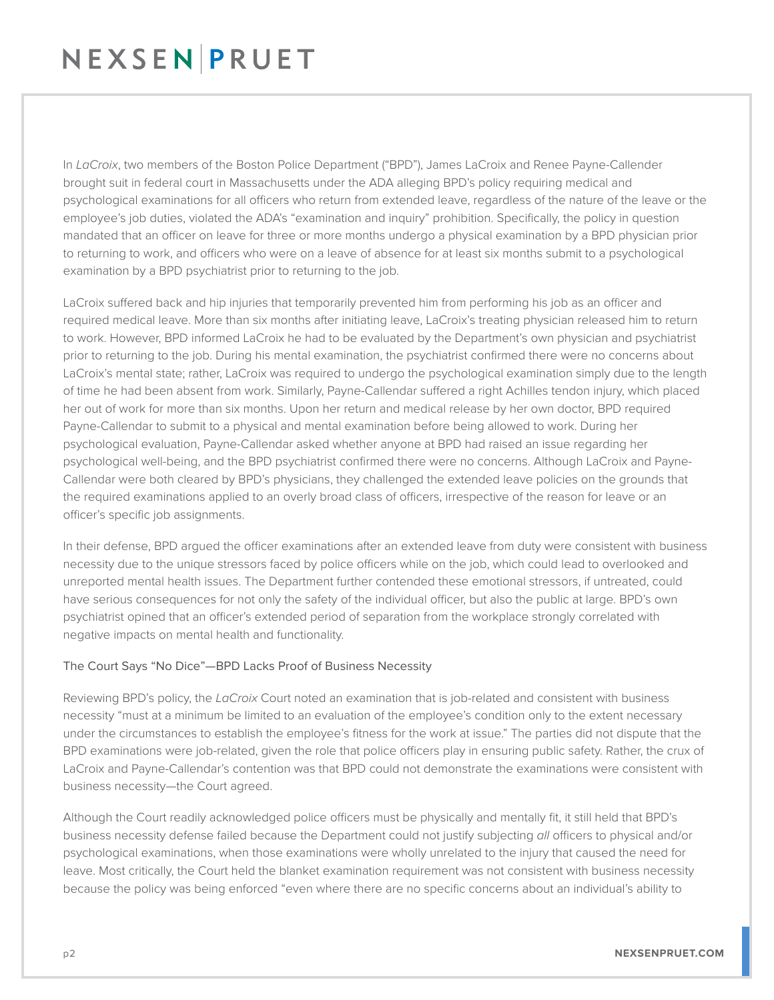# NEXSEN PRUET

In *LaCroix*, two members of the Boston Police Department ("BPD"), James LaCroix and Renee Payne-Callender brought suit in federal court in Massachusetts under the ADA alleging BPD's policy requiring medical and psychological examinations for all officers who return from extended leave, regardless of the nature of the leave or the employee's job duties, violated the ADA's "examination and inquiry" prohibition. Specifically, the policy in question mandated that an officer on leave for three or more months undergo a physical examination by a BPD physician prior to returning to work, and officers who were on a leave of absence for at least six months submit to a psychological examination by a BPD psychiatrist prior to returning to the job.

LaCroix suffered back and hip injuries that temporarily prevented him from performing his job as an officer and required medical leave. More than six months after initiating leave, LaCroix's treating physician released him to return to work. However, BPD informed LaCroix he had to be evaluated by the Department's own physician and psychiatrist prior to returning to the job. During his mental examination, the psychiatrist confirmed there were no concerns about LaCroix's mental state; rather, LaCroix was required to undergo the psychological examination simply due to the length of time he had been absent from work. Similarly, Payne-Callendar suffered a right Achilles tendon injury, which placed her out of work for more than six months. Upon her return and medical release by her own doctor, BPD required Payne-Callendar to submit to a physical and mental examination before being allowed to work. During her psychological evaluation, Payne-Callendar asked whether anyone at BPD had raised an issue regarding her psychological well-being, and the BPD psychiatrist confirmed there were no concerns. Although LaCroix and Payne-Callendar were both cleared by BPD's physicians, they challenged the extended leave policies on the grounds that the required examinations applied to an overly broad class of officers, irrespective of the reason for leave or an officer's specific job assignments.

In their defense, BPD argued the officer examinations after an extended leave from duty were consistent with business necessity due to the unique stressors faced by police officers while on the job, which could lead to overlooked and unreported mental health issues. The Department further contended these emotional stressors, if untreated, could have serious consequences for not only the safety of the individual officer, but also the public at large. BPD's own psychiatrist opined that an officer's extended period of separation from the workplace strongly correlated with negative impacts on mental health and functionality.

### The Court Says "No Dice"—BPD Lacks Proof of Business Necessity

Reviewing BPD's policy, the *LaCroix* Court noted an examination that is job-related and consistent with business necessity "must at a minimum be limited to an evaluation of the employee's condition only to the extent necessary under the circumstances to establish the employee's fitness for the work at issue." The parties did not dispute that the BPD examinations were job-related, given the role that police officers play in ensuring public safety. Rather, the crux of LaCroix and Payne-Callendar's contention was that BPD could not demonstrate the examinations were consistent with business necessity—the Court agreed.

Although the Court readily acknowledged police officers must be physically and mentally fit, it still held that BPD's business necessity defense failed because the Department could not justify subjecting *all* officers to physical and/or psychological examinations, when those examinations were wholly unrelated to the injury that caused the need for leave. Most critically, the Court held the blanket examination requirement was not consistent with business necessity because the policy was being enforced "even where there are no specific concerns about an individual's ability to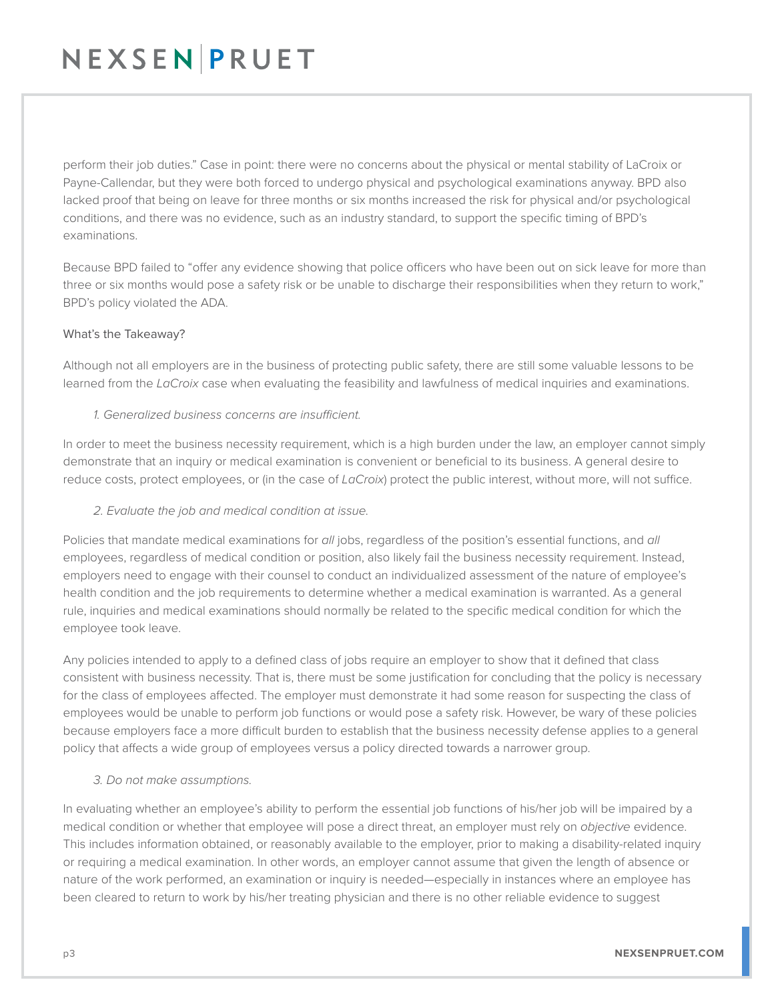# NEXSENPRUET

perform their job duties." Case in point: there were no concerns about the physical or mental stability of LaCroix or Payne-Callendar, but they were both forced to undergo physical and psychological examinations anyway. BPD also lacked proof that being on leave for three months or six months increased the risk for physical and/or psychological conditions, and there was no evidence, such as an industry standard, to support the specific timing of BPD's examinations.

Because BPD failed to "offer any evidence showing that police officers who have been out on sick leave for more than three or six months would pose a safety risk or be unable to discharge their responsibilities when they return to work," BPD's policy violated the ADA.

#### What's the Takeaway?

Although not all employers are in the business of protecting public safety, there are still some valuable lessons to be learned from the *LaCroix* case when evaluating the feasibility and lawfulness of medical inquiries and examinations.

#### *1. Generalized business concerns are insufficient.*

In order to meet the business necessity requirement, which is a high burden under the law, an employer cannot simply demonstrate that an inquiry or medical examination is convenient or beneficial to its business. A general desire to reduce costs, protect employees, or (in the case of *LaCroix*) protect the public interest, without more, will not suffice.

### *2. Evaluate the job and medical condition at issue.*

Policies that mandate medical examinations for *all* jobs, regardless of the position's essential functions, and *all* employees, regardless of medical condition or position, also likely fail the business necessity requirement. Instead, employers need to engage with their counsel to conduct an individualized assessment of the nature of employee's health condition and the job requirements to determine whether a medical examination is warranted. As a general rule, inquiries and medical examinations should normally be related to the specific medical condition for which the employee took leave.

Any policies intended to apply to a defined class of jobs require an employer to show that it defined that class consistent with business necessity. That is, there must be some justification for concluding that the policy is necessary for the class of employees affected. The employer must demonstrate it had some reason for suspecting the class of employees would be unable to perform job functions or would pose a safety risk. However, be wary of these policies because employers face a more difficult burden to establish that the business necessity defense applies to a general policy that affects a wide group of employees versus a policy directed towards a narrower group.

#### *3. Do not make assumptions.*

In evaluating whether an employee's ability to perform the essential job functions of his/her job will be impaired by a medical condition or whether that employee will pose a direct threat, an employer must rely on *objective* evidence. This includes information obtained, or reasonably available to the employer, prior to making a disability-related inquiry or requiring a medical examination. In other words, an employer cannot assume that given the length of absence or nature of the work performed, an examination or inquiry is needed—especially in instances where an employee has been cleared to return to work by his/her treating physician and there is no other reliable evidence to suggest